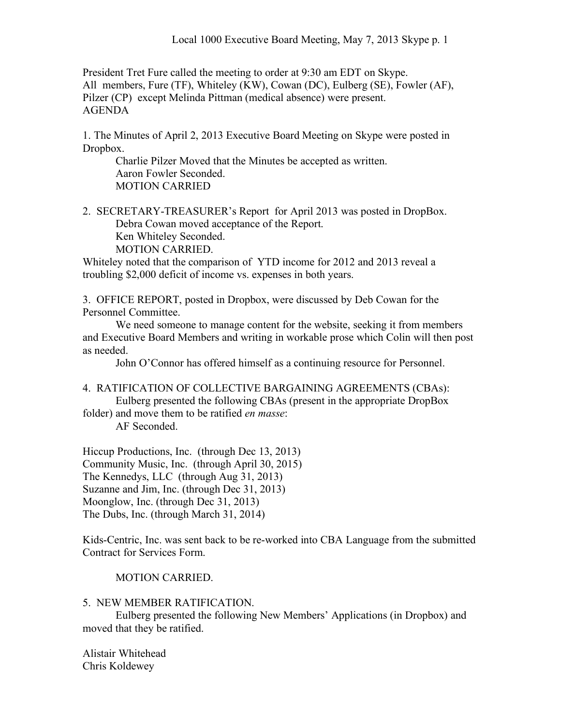President Tret Fure called the meeting to order at 9:30 am EDT on Skype. All members, Fure (TF), Whiteley (KW), Cowan (DC), Eulberg (SE), Fowler (AF), Pilzer (CP) except Melinda Pittman (medical absence) were present. AGENDA

1. The Minutes of April 2, 2013 Executive Board Meeting on Skype were posted in Dropbox.

Charlie Pilzer Moved that the Minutes be accepted as written. Aaron Fowler Seconded. MOTION CARRIED

2. SECRETARY-TREASURER's Report for April 2013 was posted in DropBox. Debra Cowan moved acceptance of the Report. Ken Whiteley Seconded. MOTION CARRIED.

Whiteley noted that the comparison of YTD income for 2012 and 2013 reveal a troubling \$2,000 deficit of income vs. expenses in both years.

3. OFFICE REPORT, posted in Dropbox, were discussed by Deb Cowan for the Personnel Committee.

We need someone to manage content for the website, seeking it from members and Executive Board Members and writing in workable prose which Colin will then post as needed.

John O'Connor has offered himself as a continuing resource for Personnel.

4. RATIFICATION OF COLLECTIVE BARGAINING AGREEMENTS (CBAs): Eulberg presented the following CBAs (present in the appropriate DropBox

folder) and move them to be ratified *en masse*:

AF Seconded.

Hiccup Productions, Inc. (through Dec 13, 2013) Community Music, Inc. (through April 30, 2015) The Kennedys, LLC (through Aug 31, 2013) Suzanne and Jim, Inc. (through Dec 31, 2013) Moonglow, Inc. (through Dec 31, 2013) The Dubs, Inc. (through March 31, 2014)

Kids-Centric, Inc. was sent back to be re-worked into CBA Language from the submitted Contract for Services Form.

MOTION CARRIED.

5. NEW MEMBER RATIFICATION.

Eulberg presented the following New Members' Applications (in Dropbox) and moved that they be ratified.

Alistair Whitehead Chris Koldewey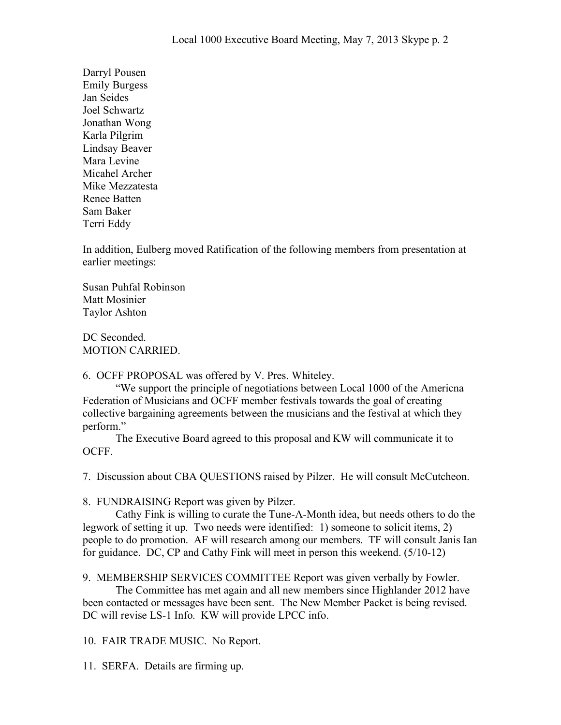Darryl Pousen Emily Burgess Jan Seides Joel Schwartz Jonathan Wong Karla Pilgrim Lindsay Beaver Mara Levine Micahel Archer Mike Mezzatesta Renee Batten Sam Baker Terri Eddy

In addition, Eulberg moved Ratification of the following members from presentation at earlier meetings:

Susan Puhfal Robinson Matt Mosinier Taylor Ashton

DC Seconded. MOTION CARRIED.

6. OCFF PROPOSAL was offered by V. Pres. Whiteley.

"We support the principle of negotiations between Local 1000 of the Americna Federation of Musicians and OCFF member festivals towards the goal of creating collective bargaining agreements between the musicians and the festival at which they perform."

The Executive Board agreed to this proposal and KW will communicate it to OCFF.

7. Discussion about CBA QUESTIONS raised by Pilzer. He will consult McCutcheon.

8. FUNDRAISING Report was given by Pilzer.

Cathy Fink is willing to curate the Tune-A-Month idea, but needs others to do the legwork of setting it up. Two needs were identified: 1) someone to solicit items, 2) people to do promotion. AF will research among our members. TF will consult Janis Ian for guidance. DC, CP and Cathy Fink will meet in person this weekend. (5/10-12)

9. MEMBERSHIP SERVICES COMMITTEE Report was given verbally by Fowler.

The Committee has met again and all new members since Highlander 2012 have been contacted or messages have been sent. The New Member Packet is being revised. DC will revise LS-1 Info. KW will provide LPCC info.

10. FAIR TRADE MUSIC. No Report.

11. SERFA. Details are firming up.